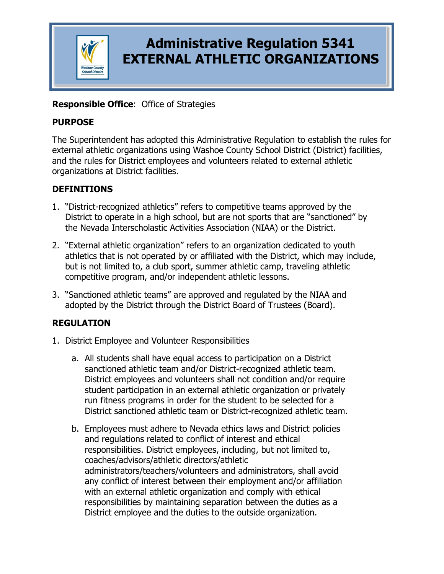

# **Administrative Regulation 5341 EXTERNAL ATHLETIC ORGANIZATIONS**

### **Responsible Office**: Office of Strategies

#### **PURPOSE**

The Superintendent has adopted this Administrative Regulation to establish the rules for external athletic organizations using Washoe County School District (District) facilities, and the rules for District employees and volunteers related to external athletic organizations at District facilities.

### **DEFINITIONS**

- 1. "District-recognized athletics" refers to competitive teams approved by the District to operate in a high school, but are not sports that are "sanctioned" by the Nevada Interscholastic Activities Association (NIAA) or the District.
- 2. "External athletic organization" refers to an organization dedicated to youth athletics that is not operated by or affiliated with the District, which may include, but is not limited to, a club sport, summer athletic camp, traveling athletic competitive program, and/or independent athletic lessons.
- 3. "Sanctioned athletic teams" are approved and regulated by the NIAA and adopted by the District through the District Board of Trustees (Board).

### **REGULATION**

- 1. District Employee and Volunteer Responsibilities
	- a. All students shall have equal access to participation on a District sanctioned athletic team and/or District-recognized athletic team. District employees and volunteers shall not condition and/or require student participation in an external athletic organization or privately run fitness programs in order for the student to be selected for a District sanctioned athletic team or District-recognized athletic team.
	- b. Employees must adhere to Nevada ethics laws and District policies and regulations related to conflict of interest and ethical responsibilities. District employees, including, but not limited to, coaches/advisors/athletic directors/athletic administrators/teachers/volunteers and administrators, shall avoid any conflict of interest between their employment and/or affiliation with an external athletic organization and comply with ethical responsibilities by maintaining separation between the duties as a District employee and the duties to the outside organization.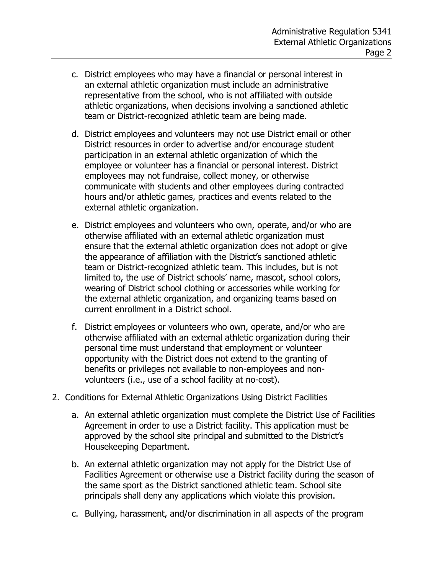- c. District employees who may have a financial or personal interest in an external athletic organization must include an administrative representative from the school, who is not affiliated with outside athletic organizations, when decisions involving a sanctioned athletic team or District-recognized athletic team are being made.
- d. District employees and volunteers may not use District email or other District resources in order to advertise and/or encourage student participation in an external athletic organization of which the employee or volunteer has a financial or personal interest. District employees may not fundraise, collect money, or otherwise communicate with students and other employees during contracted hours and/or athletic games, practices and events related to the external athletic organization.
- e. District employees and volunteers who own, operate, and/or who are otherwise affiliated with an external athletic organization must ensure that the external athletic organization does not adopt or give the appearance of affiliation with the District's sanctioned athletic team or District-recognized athletic team. This includes, but is not limited to, the use of District schools' name, mascot, school colors, wearing of District school clothing or accessories while working for the external athletic organization, and organizing teams based on current enrollment in a District school.
- f. District employees or volunteers who own, operate, and/or who are otherwise affiliated with an external athletic organization during their personal time must understand that employment or volunteer opportunity with the District does not extend to the granting of benefits or privileges not available to non-employees and nonvolunteers (i.e., use of a school facility at no-cost).
- 2. Conditions for External Athletic Organizations Using District Facilities
	- a. An external athletic organization must complete the District Use of Facilities Agreement in order to use a District facility. This application must be approved by the school site principal and submitted to the District's Housekeeping Department.
	- b. An external athletic organization may not apply for the District Use of Facilities Agreement or otherwise use a District facility during the season of the same sport as the District sanctioned athletic team. School site principals shall deny any applications which violate this provision.
	- c. Bullying, harassment, and/or discrimination in all aspects of the program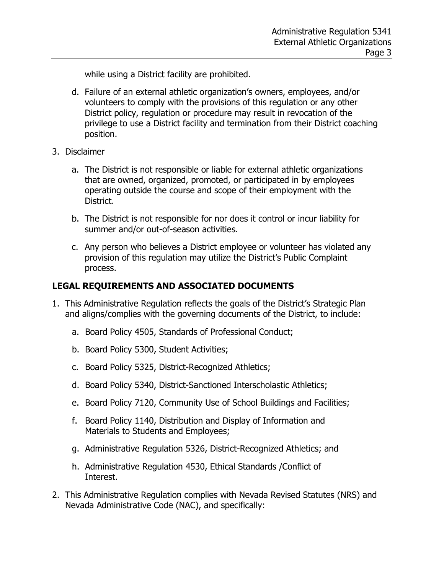while using a District facility are prohibited.

- d. Failure of an external athletic organization's owners, employees, and/or volunteers to comply with the provisions of this regulation or any other District policy, regulation or procedure may result in revocation of the privilege to use a District facility and termination from their District coaching position.
- 3. Disclaimer
	- a. The District is not responsible or liable for external athletic organizations that are owned, organized, promoted, or participated in by employees operating outside the course and scope of their employment with the District.
	- b. The District is not responsible for nor does it control or incur liability for summer and/or out-of-season activities.
	- c. Any person who believes a District employee or volunteer has violated any provision of this regulation may utilize the District's Public Complaint process.

### **LEGAL REQUIREMENTS AND ASSOCIATED DOCUMENTS**

- 1. This Administrative Regulation reflects the goals of the District's Strategic Plan and aligns/complies with the governing documents of the District, to include:
	- a. Board Policy 4505, Standards of Professional Conduct;
	- b. Board Policy 5300, Student Activities;
	- c. Board Policy 5325, District-Recognized Athletics;
	- d. Board Policy 5340, District-Sanctioned Interscholastic Athletics;
	- e. Board Policy 7120, Community Use of School Buildings and Facilities;
	- f. Board Policy 1140, Distribution and Display of Information and Materials to Students and Employees;
	- g. Administrative Regulation 5326, District-Recognized Athletics; and
	- h. Administrative Regulation 4530, Ethical Standards /Conflict of Interest.
- 2. This Administrative Regulation complies with Nevada Revised Statutes (NRS) and Nevada Administrative Code (NAC), and specifically: